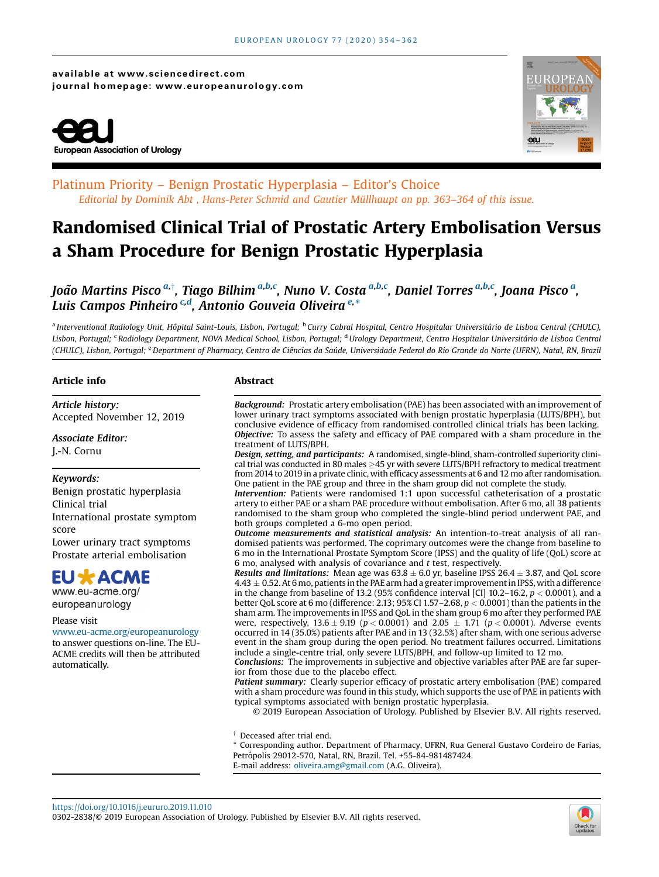available at www.sciencedirect.com journal homepage: www.europeanurology.com





### Platinum Priority – Benign Prostatic Hyperplasia – Editor's Choice Editorial by Dominik Abt , Hans-Peter Schmid and Gautier Müllhaupt on pp. 363–364 of this issue.

# Randomised Clinical Trial of Prostatic Artery Embolisation Versus a Sham Procedure for Benign Prostatic Hyperplasia

João Martins Pisco <sup>a,†</sup>, Tiago Bilhim <sup>a,b,c</sup>, Nuno V. Costa <sup>a,b,c</sup>, Daniel Torres <sup>a,b,c</sup>, Joana Pisco <sup>a</sup>, Luis Campos Pinheiro<sup>.c.d</sup>, Antonio Gouveia Oliveira<sup>.e,\*</sup>

<sup>a</sup> Interventional Radiology Unit, Hôpital Saint-Louis, Lisbon, Portugal; <sup>b</sup> Curry Cabral Hospital, Centro Hospitalar Universitário de Lisboa Central (CHULC), Lisbon, Portugal; <sup>c</sup> Radiology Department, NOVA Medical School, Lisbon, Portugal; <sup>d</sup>Urology Department, Centro Hospitalar Universitário de Lisboa Central (CHULC), Lisbon, Portugal; <sup>e</sup> Department of Pharmacy, Centro de Ciências da Saúde, Universidade Federal do Rio Grande do Norte (UFRN), Natal, RN, Brazil

#### Article info

Article history: Accepted November 12, 2019

Associate Editor: J.-N. Cornu

#### Keywords:

Benign prostatic hyperplasia Clinical trial International prostate symptom score Lower urinary tract symptoms Prostate arterial embolisation

## **EU \* ACME**

www.eu-acme.org/ europeanurology

#### Please visit

[www.eu-acme.org/europeanurology](http://www.eu-acme.org/europeanurology) to answer questions on-line. The EU-ACME credits will then be attributed automatically.

#### Abstract

Background: Prostatic artery embolisation (PAE) has been associated with an improvement of lower urinary tract symptoms associated with benign prostatic hyperplasia (LUTS/BPH), but conclusive evidence of efficacy from randomised controlled clinical trials has been lacking. Objective: To assess the safety and efficacy of PAE compared with a sham procedure in the treatment of LUTS/BPH.

Design, setting, and participants: A randomised, single-blind, sham-controlled superiority clini $cal$  trial was conducted in 80 males  $\geq$ 45 yr with severe LUTS/BPH refractory to medical treatment from 2014 to 2019 in a private clinic, with efficacy assessments at 6 and 12 mo after randomisation. One patient in the PAE group and three in the sham group did not complete the study.

Intervention: Patients were randomised 1:1 upon successful catheterisation of a prostatic artery to either PAE or a sham PAE procedure without embolisation. After 6 mo, all 38 patients randomised to the sham group who completed the single-blind period underwent PAE, and both groups completed a 6-mo open period.

Outcome measurements and statistical analysis: An intention-to-treat analysis of all randomised patients was performed. The coprimary outcomes were the change from baseline to 6 mo in the International Prostate Symptom Score (IPSS) and the quality of life (QoL) score at 6 mo, analysed with analysis of covariance and  $t$  test, respectively.

Results and limitations: Mean age was  $63.8 \pm 6.0$  yr, baseline IPSS 26.4  $\pm$  3.87, and QoL score  $4.43 \pm 0.52$ . At 6 mo, patients in the PAE arm had a greater improvement in IPSS, with a difference in the change from baseline of 13.2 (95% confidence interval [CI] 10.2–16.2,  $p < 0.0001$ ), and a better QoL score at 6 mo (difference: 2.13; 95% CI 1.57-2.68,  $p < 0.0001$ ) than the patients in the sham arm. The improvements in IPSS and QoL in the sham group 6 mo after they performed PAE were, respectively,  $13.6 \pm 9.19$  (p < 0.0001) and  $2.05 \pm 1.71$  (p < 0.0001). Adverse events occurred in 14 (35.0%) patients after PAE and in 13 (32.5%) after sham, with one serious adverse event in the sham group during the open period. No treatment failures occurred. Limitations include a single-centre trial, only severe LUTS/BPH, and follow-up limited to 12 mo.

Conclusions: The improvements in subjective and objective variables after PAE are far superior from those due to the placebo effect.

Patient summary: Clearly superior efficacy of prostatic artery embolisation (PAE) compared with a sham procedure was found in this study, which supports the use of PAE in patients with typical symptoms associated with benign prostatic hyperplasia.

© 2019 European Association of Urology. Published by Elsevier B.V. All rights reserved.

 $\dagger$  Deceased after trial end.

\* Corresponding author. Department of Pharmacy, UFRN, Rua General Gustavo Cordeiro de Farias, Petrópolis 29012-570, Natal, RN, Brazil. Tel. +55-84-981487424. E-mail address: [oliveira.amg@gmail.com](mailto:oliveira.amg@gmail.com) (A.G. Oliveira).

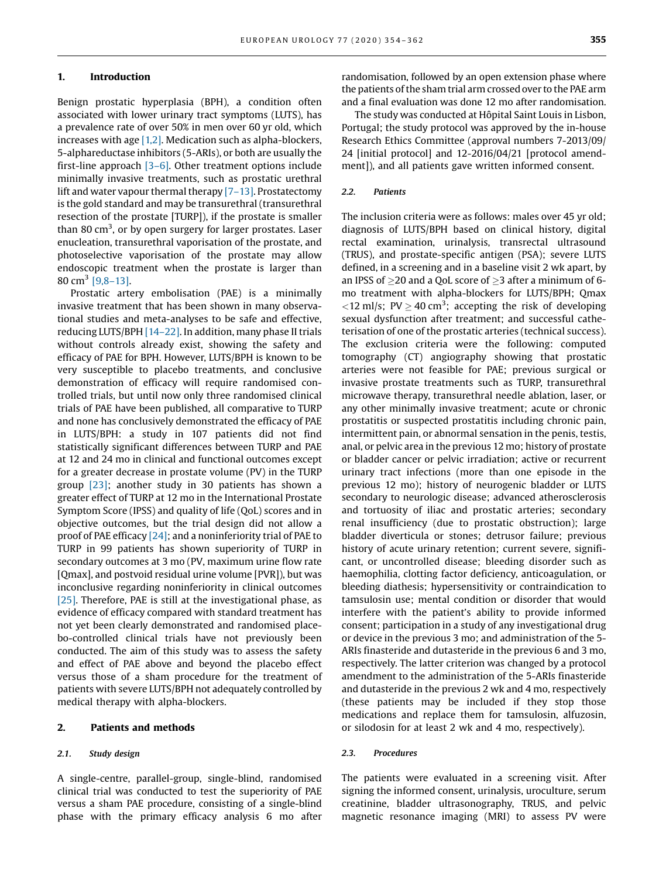#### 1. Introduction

Benign prostatic hyperplasia (BPH), a condition often associated with lower urinary tract symptoms (LUTS), has a prevalence rate of over 50% in men over 60 yr old, which increases with age  $[1,2]$ . Medication such as alpha-blockers, 5-alphareductase inhibitors (5-ARIs), or both are usually the first-line approach [3–[6\].](#page-8-0) Other treatment options include minimally invasive treatments, such as prostatic urethral lift and water vapour thermal therapy [7–[13\]](#page-8-0). Prostatectomy is the gold standard and may be transurethral (transurethral resection of the prostate [TURP]), if the prostate is smaller than 80 cm<sup>3</sup>, or by open surgery for larger prostates. Laser enucleation, transurethral vaporisation of the prostate, and photoselective vaporisation of the prostate may allow endoscopic treatment when the prostate is larger than 80 cm<sup>3</sup> [\[9,8](#page-8-0)-13].

Prostatic artery embolisation (PAE) is a minimally invasive treatment that has been shown in many observational studies and meta-analyses to be safe and effective, reducing LUTS/BPH [14–[22\]](#page-8-0). In addition, many phase II trials without controls already exist, showing the safety and efficacy of PAE for BPH. However, LUTS/BPH is known to be very susceptible to placebo treatments, and conclusive demonstration of efficacy will require randomised controlled trials, but until now only three randomised clinical trials of PAE have been published, all comparative to TURP and none has conclusively demonstrated the efficacy of PAE in LUTS/BPH: a study in 107 patients did not find statistically significant differences between TURP and PAE at 12 and 24 mo in clinical and functional outcomes except for a greater decrease in prostate volume (PV) in the TURP group [\[23\]](#page-8-0); another study in 30 patients has shown a greater effect of TURP at 12 mo in the International Prostate Symptom Score (IPSS) and quality of life (QoL) scores and in objective outcomes, but the trial design did not allow a proof of PAE efficacy [\[24\]](#page-8-0); and a noninferiority trial of PAE to TURP in 99 patients has shown superiority of TURP in secondary outcomes at 3 mo (PV, maximum urine flow rate [Qmax], and postvoid residual urine volume [PVR]), but was inconclusive regarding noninferiority in clinical outcomes [\[25\]](#page-8-0). Therefore, PAE is still at the investigational phase, as evidence of efficacy compared with standard treatment has not yet been clearly demonstrated and randomised placebo-controlled clinical trials have not previously been conducted. The aim of this study was to assess the safety and effect of PAE above and beyond the placebo effect versus those of a sham procedure for the treatment of patients with severe LUTS/BPH not adequately controlled by medical therapy with alpha-blockers.

#### 2. Patients and methods

#### 2.1. Study design

A single-centre, parallel-group, single-blind, randomised clinical trial was conducted to test the superiority of PAE versus a sham PAE procedure, consisting of a single-blind phase with the primary efficacy analysis 6 mo after randomisation, followed by an open extension phase where the patients of the sham trial arm crossed over to the PAE arm and a final evaluation was done 12 mo after randomisation.

The study was conducted at Hôpital Saint Louis in Lisbon, Portugal; the study protocol was approved by the in-house Research Ethics Committee (approval numbers 7-2013/09/ 24 [initial protocol] and 12-2016/04/21 [protocol amendment]), and all patients gave written informed consent.

#### 2.2. Patients

The inclusion criteria were as follows: males over 45 yr old; diagnosis of LUTS/BPH based on clinical history, digital rectal examination, urinalysis, transrectal ultrasound (TRUS), and prostate-specific antigen (PSA); severe LUTS defined, in a screening and in a baseline visit 2 wk apart, by an IPSS of  $\geq$ 20 and a QoL score of  $\geq$ 3 after a minimum of 6mo treatment with alpha-blockers for LUTS/BPH; Qmax  $\langle 12 \text{ ml/s}; \text{ PV} \rangle 240 \text{ cm}^3$ ; accepting the risk of developing sexual dysfunction after treatment; and successful catheterisation of one of the prostatic arteries (technical success). The exclusion criteria were the following: computed tomography (CT) angiography showing that prostatic arteries were not feasible for PAE; previous surgical or invasive prostate treatments such as TURP, transurethral microwave therapy, transurethral needle ablation, laser, or any other minimally invasive treatment; acute or chronic prostatitis or suspected prostatitis including chronic pain, intermittent pain, or abnormal sensation in the penis, testis, anal, or pelvic area in the previous 12 mo; history of prostate or bladder cancer or pelvic irradiation; active or recurrent urinary tract infections (more than one episode in the previous 12 mo); history of neurogenic bladder or LUTS secondary to neurologic disease; advanced atherosclerosis and tortuosity of iliac and prostatic arteries; secondary renal insufficiency (due to prostatic obstruction); large bladder diverticula or stones; detrusor failure; previous history of acute urinary retention; current severe, significant, or uncontrolled disease; bleeding disorder such as haemophilia, clotting factor deficiency, anticoagulation, or bleeding diathesis; hypersensitivity or contraindication to tamsulosin use; mental condition or disorder that would interfere with the patient's ability to provide informed consent; participation in a study of any investigational drug or device in the previous 3 mo; and administration of the 5- ARIs finasteride and dutasteride in the previous 6 and 3 mo, respectively. The latter criterion was changed by a protocol amendment to the administration of the 5-ARIs finasteride and dutasteride in the previous 2 wk and 4 mo, respectively (these patients may be included if they stop those medications and replace them for tamsulosin, alfuzosin, or silodosin for at least 2 wk and 4 mo, respectively).

#### 2.3. Procedures

The patients were evaluated in a screening visit. After signing the informed consent, urinalysis, uroculture, serum creatinine, bladder ultrasonography, TRUS, and pelvic magnetic resonance imaging (MRI) to assess PV were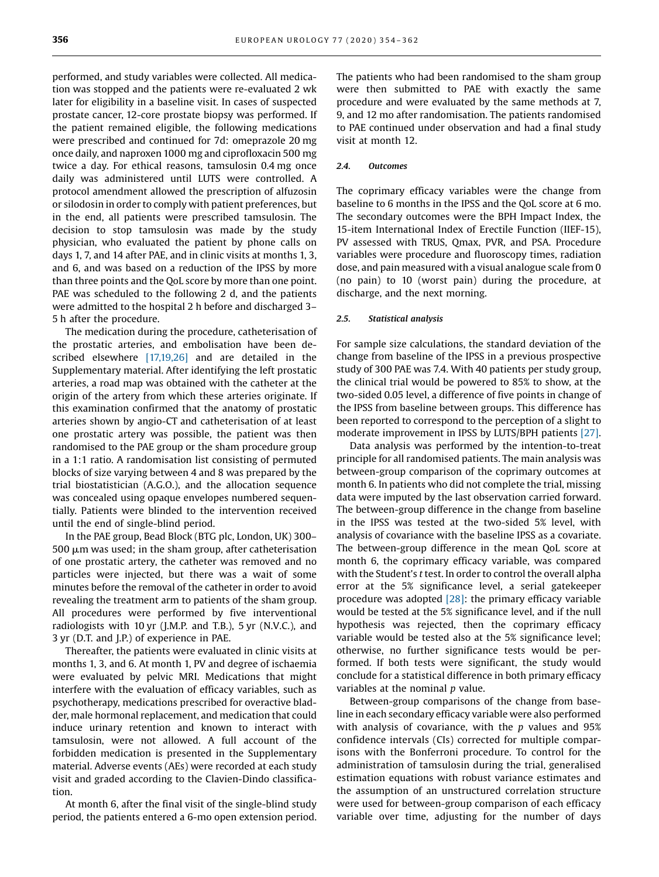performed, and study variables were collected. All medication was stopped and the patients were re-evaluated 2 wk later for eligibility in a baseline visit. In cases of suspected prostate cancer, 12-core prostate biopsy was performed. If the patient remained eligible, the following medications were prescribed and continued for 7d: omeprazole 20 mg once daily, and naproxen 1000 mg and ciprofloxacin 500 mg twice a day. For ethical reasons, tamsulosin 0.4 mg once daily was administered until LUTS were controlled. A protocol amendment allowed the prescription of alfuzosin or silodosin in order to comply with patient preferences, but in the end, all patients were prescribed tamsulosin. The decision to stop tamsulosin was made by the study physician, who evaluated the patient by phone calls on days 1, 7, and 14 after PAE, and in clinic visits at months 1, 3, and 6, and was based on a reduction of the IPSS by more than three points and the QoL score by more than one point. PAE was scheduled to the following 2 d, and the patients were admitted to the hospital 2 h before and discharged 3– 5 h after the procedure.

The medication during the procedure, catheterisation of the prostatic arteries, and embolisation have been described elsewhere [\[17,19,26\]](#page-8-0) and are detailed in the Supplementary material. After identifying the left prostatic arteries, a road map was obtained with the catheter at the origin of the artery from which these arteries originate. If this examination confirmed that the anatomy of prostatic arteries shown by angio-CT and catheterisation of at least one prostatic artery was possible, the patient was then randomised to the PAE group or the sham procedure group in a 1:1 ratio. A randomisation list consisting of permuted blocks of size varying between 4 and 8 was prepared by the trial biostatistician (A.G.O.), and the allocation sequence was concealed using opaque envelopes numbered sequentially. Patients were blinded to the intervention received until the end of single-blind period.

In the PAE group, Bead Block (BTG plc, London, UK) 300–  $500 \mu m$  was used; in the sham group, after catheterisation of one prostatic artery, the catheter was removed and no particles were injected, but there was a wait of some minutes before the removal of the catheter in order to avoid revealing the treatment arm to patients of the sham group. All procedures were performed by five interventional radiologists with 10 yr (J.M.P. and T.B.), 5 yr (N.V.C.), and 3 yr (D.T. and J.P.) of experience in PAE.

Thereafter, the patients were evaluated in clinic visits at months 1, 3, and 6. At month 1, PV and degree of ischaemia were evaluated by pelvic MRI. Medications that might interfere with the evaluation of efficacy variables, such as psychotherapy, medications prescribed for overactive bladder, male hormonal replacement, and medication that could induce urinary retention and known to interact with tamsulosin, were not allowed. A full account of the forbidden medication is presented in the Supplementary material. Adverse events (AEs) were recorded at each study visit and graded according to the Clavien-Dindo classification.

At month 6, after the final visit of the single-blind study period, the patients entered a 6-mo open extension period. The patients who had been randomised to the sham group were then submitted to PAE with exactly the same procedure and were evaluated by the same methods at 7, 9, and 12 mo after randomisation. The patients randomised to PAE continued under observation and had a final study visit at month 12.

#### 2.4 Outcomes

The coprimary efficacy variables were the change from baseline to 6 months in the IPSS and the QoL score at 6 mo. The secondary outcomes were the BPH Impact Index, the 15-item International Index of Erectile Function (IIEF-15), PV assessed with TRUS, Qmax, PVR, and PSA. Procedure variables were procedure and fluoroscopy times, radiation dose, and pain measured with a visual analogue scale from 0 (no pain) to 10 (worst pain) during the procedure, at discharge, and the next morning.

#### 2.5. Statistical analysis

For sample size calculations, the standard deviation of the change from baseline of the IPSS in a previous prospective study of 300 PAE was 7.4. With 40 patients per study group, the clinical trial would be powered to 85% to show, at the two-sided 0.05 level, a difference of five points in change of the IPSS from baseline between groups. This difference has been reported to correspond to the perception of a slight to moderate improvement in IPSS by LUTS/BPH patients [\[27\]](#page-8-0).

Data analysis was performed by the intention-to-treat principle for all randomised patients. The main analysis was between-group comparison of the coprimary outcomes at month 6. In patients who did not complete the trial, missing data were imputed by the last observation carried forward. The between-group difference in the change from baseline in the IPSS was tested at the two-sided 5% level, with analysis of covariance with the baseline IPSS as a covariate. The between-group difference in the mean QoL score at month 6, the coprimary efficacy variable, was compared with the Student's t test. In order to control the overall alpha error at the 5% significance level, a serial gatekeeper procedure was adopted [\[28\]:](#page-8-0) the primary efficacy variable would be tested at the 5% significance level, and if the null hypothesis was rejected, then the coprimary efficacy variable would be tested also at the 5% significance level; otherwise, no further significance tests would be performed. If both tests were significant, the study would conclude for a statistical difference in both primary efficacy variables at the nominal  $p$  value.

Between-group comparisons of the change from baseline in each secondary efficacy variable were also performed with analysis of covariance, with the  $p$  values and 95% confidence intervals (CIs) corrected for multiple comparisons with the Bonferroni procedure. To control for the administration of tamsulosin during the trial, generalised estimation equations with robust variance estimates and the assumption of an unstructured correlation structure were used for between-group comparison of each efficacy variable over time, adjusting for the number of days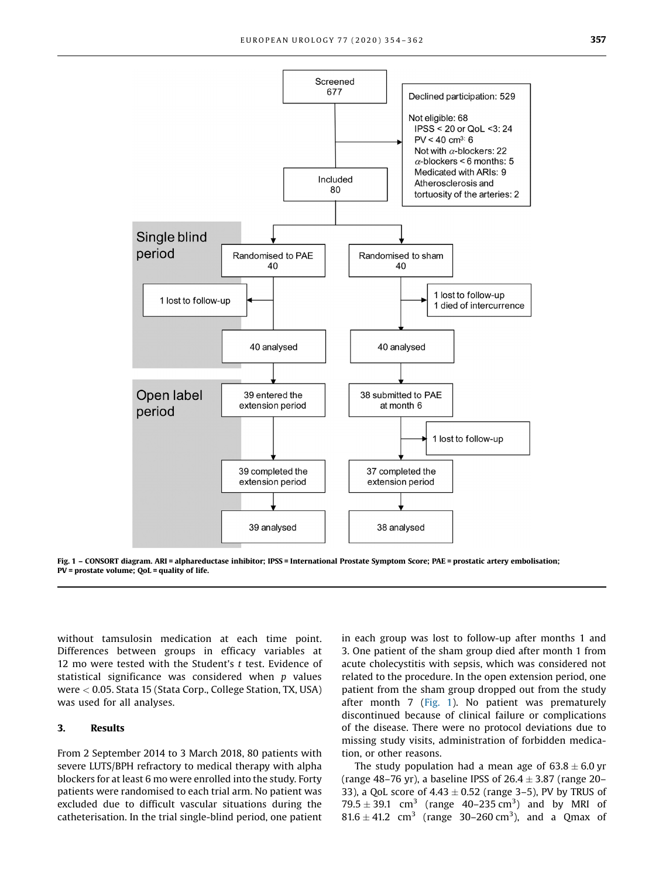

Fig. 1 – CONSORT diagram. ARI = alphareductase inhibitor; IPSS = International Prostate Symptom Score; PAE = prostatic artery embolisation; PV = prostate volume; QoL = quality of life.

without tamsulosin medication at each time point. Differences between groups in efficacy variables at 12 mo were tested with the Student's  $t$  test. Evidence of statistical significance was considered when  $p$  values were < 0.05. Stata 15 (Stata Corp., College Station, TX, USA) was used for all analyses.

#### 3. Results

From 2 September 2014 to 3 March 2018, 80 patients with severe LUTS/BPH refractory to medical therapy with alpha blockers for at least 6 mo were enrolled into the study. Forty patients were randomised to each trial arm. No patient was excluded due to difficult vascular situations during the catheterisation. In the trial single-blind period, one patient in each group was lost to follow-up after months 1 and 3. One patient of the sham group died after month 1 from acute cholecystitis with sepsis, which was considered not related to the procedure. In the open extension period, one patient from the sham group dropped out from the study after month 7 (Fig. 1). No patient was prematurely discontinued because of clinical failure or complications of the disease. There were no protocol deviations due to missing study visits, administration of forbidden medication, or other reasons.

The study population had a mean age of  $63.8 \pm 6.0$  yr (range 48–76 yr), a baseline IPSS of  $26.4 \pm 3.87$  (range 20– 33), a QoL score of  $4.43 \pm 0.52$  (range 3–5), PV by TRUS of  $79.5 \pm 39.1$  cm<sup>3</sup> (range 40–235 cm<sup>3</sup>) and by MRI of  $81.6 \pm 41.2$  cm<sup>3</sup> (range 30–260 cm<sup>3</sup>), and a Qmax of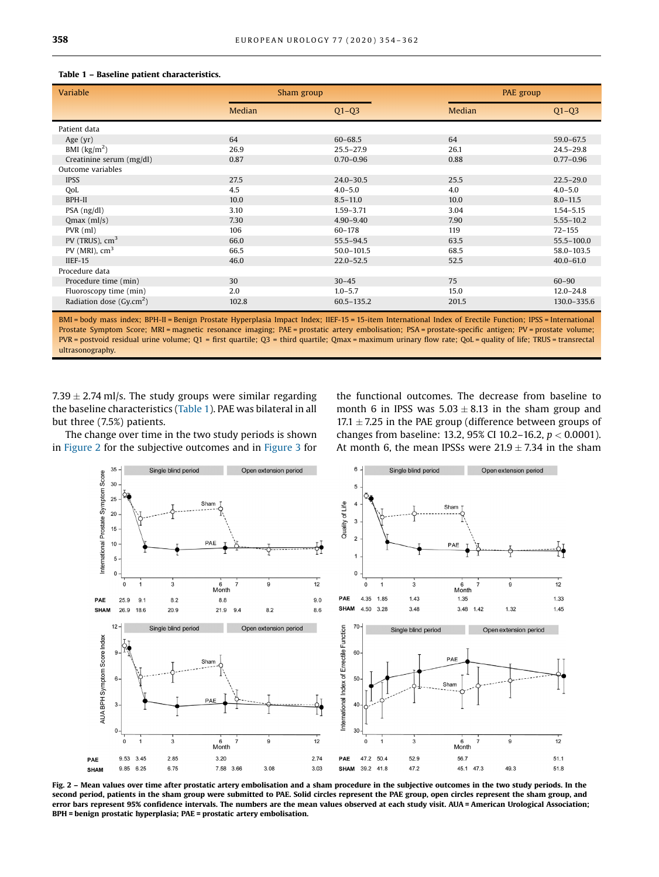|  | Table 1 – Baseline patient characteristics. |
|--|---------------------------------------------|
|--|---------------------------------------------|

| Variable                    | Sham group |                |        | PAE group     |  |
|-----------------------------|------------|----------------|--------|---------------|--|
|                             | Median     | $Q1-Q3$        | Median | $Q1 - Q3$     |  |
| Patient data                |            |                |        |               |  |
| Age $(yr)$                  | 64         | $60 - 68.5$    | 64     | 59.0-67.5     |  |
| BMI $\frac{\text{kg}}{m^2}$ | 26.9       | $25.5 - 27.9$  | 26.1   | $24.5 - 29.8$ |  |
| Creatinine serum (mg/dl)    | 0.87       | $0.70 - 0.96$  | 0.88   | $0.77 - 0.96$ |  |
| Outcome variables           |            |                |        |               |  |
| <b>IPSS</b>                 | 27.5       | $24.0 - 30.5$  | 25.5   | $22.5 - 29.0$ |  |
| QoL                         | 4.5        | $4.0 - 5.0$    | 4.0    | $4.0 - 5.0$   |  |
| BPH-II                      | 10.0       | $8.5 - 11.0$   | 10.0   | $8.0 - 11.5$  |  |
| $PSA$ ( $ng/dl$ )           | 3.10       | $1.59 - 3.71$  | 3.04   | $1.54 - 5.15$ |  |
| $Qmax$ (ml/s)               | 7.30       | $4.90 - 9.40$  | 7.90   | $5.55 - 10.2$ |  |
| $PVR$ (ml)                  | 106        | $60 - 178$     | 119    | $72 - 155$    |  |
| PV (TRUS), $cm3$            | 66.0       | $55.5 - 94.5$  | 63.5   | 55.5-100.0    |  |
| PV (MRI), $cm3$             | 66.5       | $50.0 - 101.5$ | 68.5   | 58.0-103.5    |  |
| $IIEF-15$                   | 46.0       | $22.0 - 52.5$  | 52.5   | $40.0 - 61.0$ |  |
| Procedure data              |            |                |        |               |  |
| Procedure time (min)        | 30         | $30 - 45$      | 75     | $60 - 90$     |  |
| Fluoroscopy time (min)      | 2.0        | $1.0 - 5.7$    | 15.0   | $12.0 - 24.8$ |  |
| Radiation dose $(Gy.cm2)$   | 102.8      | $60.5 - 135.2$ | 201.5  | 130.0-335.6   |  |

BMI = body mass index; BPH-II = Benign Prostate Hyperplasia Impact Index; IIEF-15 = 15-item International Index of Erectile Function; IPSS = International Prostate Symptom Score; MRI = magnetic resonance imaging; PAE = prostatic artery embolisation; PSA = prostate-specific antigen; PV = prostate volume; PVR = postvoid residual urine volume; Q1 = first quartile; Q3 = third quartile; Qmax = maximum urinary flow rate; QoL = quality of life; TRUS = transrectal ultrasonography.

7.39  $\pm$  2.74 ml/s. The study groups were similar regarding the baseline characteristics (Table 1). PAE was bilateral in all but three (7.5%) patients.

The change over time in the two study periods is shown in Figure 2 for the subjective outcomes and in [Figure 3](#page-5-0) for the functional outcomes. The decrease from baseline to month 6 in IPSS was  $5.03 \pm 8.13$  in the sham group and 17.1  $\pm$  7.25 in the PAE group (difference between groups of changes from baseline: 13.2, 95% CI 10.2-16.2,  $p < 0.0001$ ). At month 6, the mean IPSSs were  $21.9 \pm 7.34$  in the sham



Fig. 2 – Mean values over time after prostatic artery embolisation and a sham procedure in the subjective outcomes in the two study periods. In the second period, patients in the sham group were submitted to PAE. Solid circles represent the PAE group, open circles represent the sham group, and error bars represent 95% confidence intervals. The numbers are the mean values observed at each study visit. AUA = American Urological Association; BPH = benign prostatic hyperplasia; PAE = prostatic artery embolisation.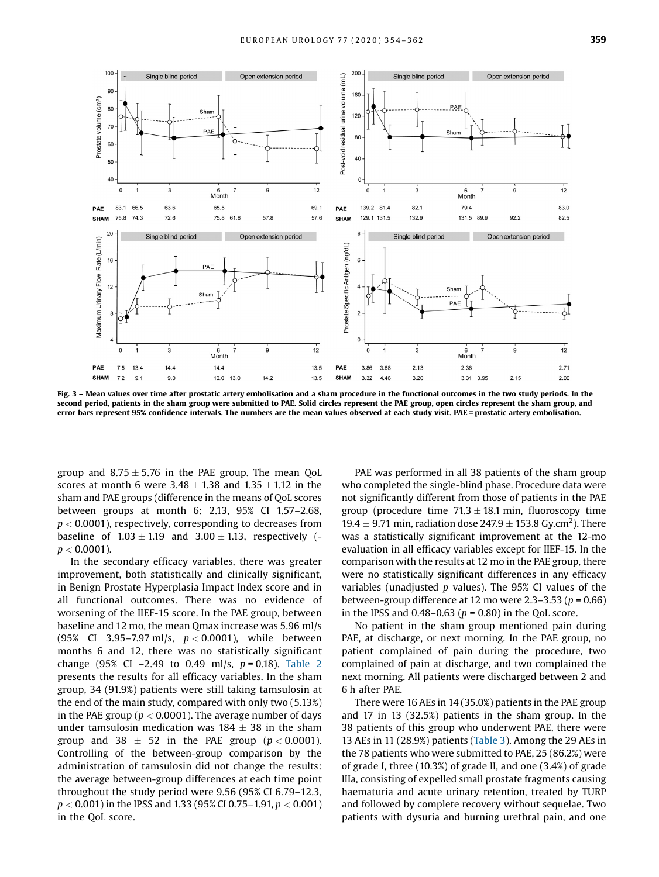<span id="page-5-0"></span>

Fig. 3 – Mean values over time after prostatic artery embolisation and a sham procedure in the functional outcomes in the two study periods. In the second period, patients in the sham group were submitted to PAE. Solid circles represent the PAE group, open circles represent the sham group, and error bars represent 95% confidence intervals. The numbers are the mean values observed at each study visit. PAE = prostatic artery embolisation.

group and  $8.75 \pm 5.76$  in the PAE group. The mean QoL scores at month 6 were  $3.48 \pm 1.38$  and  $1.35 \pm 1.12$  in the sham and PAE groups (difference in the means of QoL scores between groups at month 6: 2.13, 95% CI 1.57–2.68,  $p < 0.0001$ ), respectively, corresponding to decreases from baseline of  $1.03 \pm 1.19$  and  $3.00 \pm 1.13$ , respectively ( $p < 0.0001$ ).

In the secondary efficacy variables, there was greater improvement, both statistically and clinically significant, in Benign Prostate Hyperplasia Impact Index score and in all functional outcomes. There was no evidence of worsening of the IIEF-15 score. In the PAE group, between baseline and 12 mo, the mean Qmax increase was 5.96 ml/s (95% CI 3.95-7.97 ml/s,  $p < 0.0001$ ), while between months 6 and 12, there was no statistically significant change (95% CI -2.49 to 0.49 ml/s,  $p = 0.18$ ). [Table 2](#page-6-0) presents the results for all efficacy variables. In the sham group, 34 (91.9%) patients were still taking tamsulosin at the end of the main study, compared with only two (5.13%) in the PAE group ( $p < 0.0001$ ). The average number of days under tamsulosin medication was  $184 \pm 38$  in the sham group and 38  $\pm$  52 in the PAE group ( $p < 0.0001$ ). Controlling of the between-group comparison by the administration of tamsulosin did not change the results: the average between-group differences at each time point throughout the study period were 9.56 (95% CI 6.79–12.3,  $p < 0.001$  ) in the IPSS and 1.33 (95% CI 0.75–1.91,  $p < 0.001$  ) in the QoL score.

PAE was performed in all 38 patients of the sham group who completed the single-blind phase. Procedure data were not significantly different from those of patients in the PAE group (procedure time  $71.3 \pm 18.1$  min, fluoroscopy time 19.4  $\pm$  9.71 min, radiation dose 247.9  $\pm$  153.8 Gy.cm<sup>2</sup>). There was a statistically significant improvement at the 12-mo evaluation in all efficacy variables except for IIEF-15. In the comparison with the results at 12 mo in the PAE group, there were no statistically significant differences in any efficacy variables (unadjusted  $p$  values). The 95% CI values of the between-group difference at 12 mo were 2.3–3.53 ( $p = 0.66$ ) in the IPSS and  $0.48-0.63$  ( $p = 0.80$ ) in the QoL score.

No patient in the sham group mentioned pain during PAE, at discharge, or next morning. In the PAE group, no patient complained of pain during the procedure, two complained of pain at discharge, and two complained the next morning. All patients were discharged between 2 and 6 h after PAE.

There were 16 AEs in 14 (35.0%) patients in the PAE group and 17 in 13 (32.5%) patients in the sham group. In the 38 patients of this group who underwent PAE, there were 13 AEs in 11 (28.9%) patients ([Table 3](#page-6-0)). Among the 29 AEs in the 78 patients who were submitted to PAE, 25 (86.2%) were of grade I, three (10.3%) of grade II, and one (3.4%) of grade IIIa, consisting of expelled small prostate fragments causing haematuria and acute urinary retention, treated by TURP and followed by complete recovery without sequelae. Two patients with dysuria and burning urethral pain, and one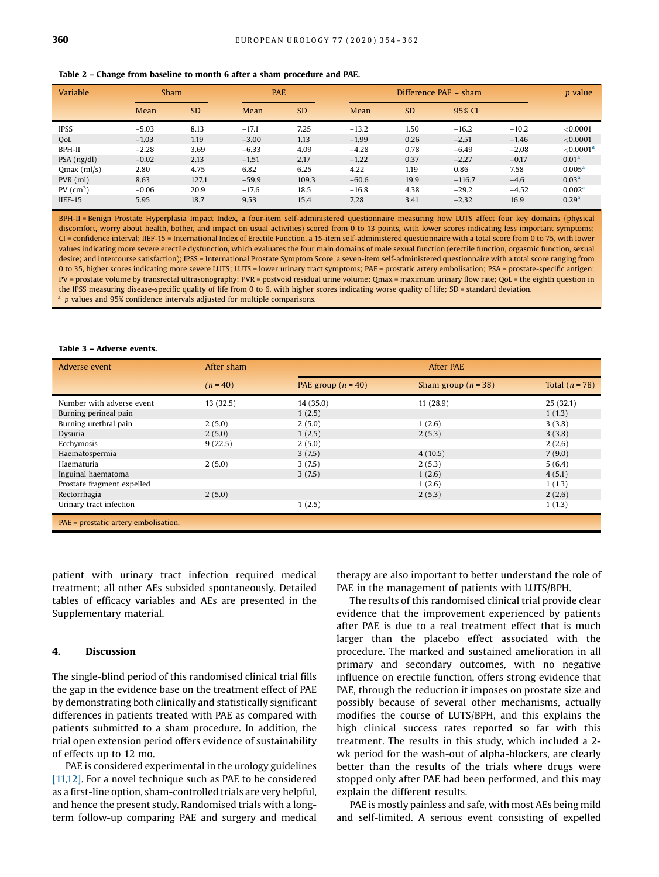#### <span id="page-6-0"></span>Table 2 – Change from baseline to month 6 after a sham procedure and PAE.

| Variable                | Sham    |           | <b>PAE</b> |           |         | Difference PAE – sham |          |         | <i>p</i> value           |
|-------------------------|---------|-----------|------------|-----------|---------|-----------------------|----------|---------|--------------------------|
|                         | Mean    | <b>SD</b> | Mean       | <b>SD</b> | Mean    | <b>SD</b>             | 95% CI   |         |                          |
| <b>IPSS</b>             | $-5.03$ | 8.13      | $-17.1$    | 7.25      | $-13.2$ | 1.50                  | $-16.2$  | $-10.2$ | < 0.0001                 |
| OoL                     | $-1.03$ | 1.19      | $-3.00$    | 1.13      | $-1.99$ | 0.26                  | $-2.51$  | $-1.46$ | < 0.0001                 |
| BPH-II                  | $-2.28$ | 3.69      | $-6.33$    | 4.09      | $-4.28$ | 0.78                  | $-6.49$  | $-2.08$ | ${<}0.0001$ <sup>a</sup> |
| $PSA$ ( $ng/dl$ )       | $-0.02$ | 2.13      | $-1.51$    | 2.17      | $-1.22$ | 0.37                  | $-2.27$  | $-0.17$ | 0.01 <sup>a</sup>        |
| $Qmax$ (ml/s)           | 2.80    | 4.75      | 6.82       | 6.25      | 4.22    | 1.19                  | 0.86     | 7.58    | 0.005 <sup>a</sup>       |
| $PVR$ (ml)              | 8.63    | 127.1     | $-59.9$    | 109.3     | $-60.6$ | 19.9                  | $-116.7$ | $-4.6$  | 0.03 <sup>a</sup>        |
| $PV$ (cm <sup>3</sup> ) | $-0.06$ | 20.9      | $-17.6$    | 18.5      | $-16.8$ | 4.38                  | $-29.2$  | $-4.52$ | 0.002 <sup>a</sup>       |
| $IIEF-15$               | 5.95    | 18.7      | 9.53       | 15.4      | 7.28    | 3.41                  | $-2.32$  | 16.9    | 0.29 <sup>a</sup>        |

BPH-II = Benign Prostate Hyperplasia Impact Index, a four-item self-administered questionnaire measuring how LUTS affect four key domains (physical discomfort, worry about health, bother, and impact on usual activities) scored from 0 to 13 points, with lower scores indicating less important symptoms; CI = confidence interval; IIEF-15 = International Index of Erectile Function, a 15-item self-administered questionnaire with a total score from 0 to 75, with lower values indicating more severe erectile dysfunction, which evaluates the four main domains of male sexual function (erectile function, orgasmic function, sexual desire; and intercourse satisfaction); IPSS = International Prostate Symptom Score, a seven-item self-administered questionnaire with a total score ranging from 0 to 35, higher scores indicating more severe LUTS; LUTS = lower urinary tract symptoms; PAE = prostatic artery embolisation; PSA = prostate-specific antigen; PV = prostate volume by transrectal ultrasonography; PVR = postvoid residual urine volume; Qmax = maximum urinary flow rate; QoL = the eighth question in the IPSS measuring disease-specific quality of life from 0 to 6, with higher scores indicating worse quality of life; SD = standard deviation. p values and 95% confidence intervals adjusted for multiple comparisons.

#### Table 3 – Adverse events.

| Adverse event                        | After sham | <b>After PAE</b>     |                       |                  |  |  |
|--------------------------------------|------------|----------------------|-----------------------|------------------|--|--|
|                                      | $(n = 40)$ | PAE group $(n = 40)$ | Sham group $(n = 38)$ | Total $(n = 78)$ |  |  |
| Number with adverse event            | 13(32.5)   | 14(35.0)             | 11(28.9)              | 25(32.1)         |  |  |
| Burning perineal pain                |            | 1(2.5)               |                       | 1(1.3)           |  |  |
| Burning urethral pain                | 2(5.0)     | 2(5.0)               | 1(2.6)                | 3(3.8)           |  |  |
| Dysuria                              | 2(5.0)     | 1(2.5)               | 2(5.3)                | 3(3.8)           |  |  |
| Ecchymosis                           | 9(22.5)    | 2(5.0)               |                       | 2(2.6)           |  |  |
| Haematospermia                       |            | 3(7.5)               | 4(10.5)               | 7(9.0)           |  |  |
| Haematuria                           | 2(5.0)     | 3(7.5)               | 2(5.3)                | 5(6.4)           |  |  |
| Inguinal haematoma                   |            | 3(7.5)               | 1(2.6)                | 4(5.1)           |  |  |
| Prostate fragment expelled           |            |                      | 1(2.6)                | 1(1.3)           |  |  |
| Rectorrhagia                         | 2(5.0)     |                      | 2(5.3)                | 2(2.6)           |  |  |
| Urinary tract infection              |            | 1(2.5)               |                       | 1(1.3)           |  |  |
| PAE = prostatic artery embolisation. |            |                      |                       |                  |  |  |

patient with urinary tract infection required medical treatment; all other AEs subsided spontaneously. Detailed tables of efficacy variables and AEs are presented in the Supplementary material.

#### 4. Discussion

The single-blind period of this randomised clinical trial fills the gap in the evidence base on the treatment effect of PAE by demonstrating both clinically and statistically significant differences in patients treated with PAE as compared with patients submitted to a sham procedure. In addition, the trial open extension period offers evidence of sustainability of effects up to 12 mo.

PAE is considered experimental in the urology guidelines [\[11,12\]](#page-8-0). For a novel technique such as PAE to be considered as a first-line option, sham-controlled trials are very helpful, and hence the present study. Randomised trials with a longterm follow-up comparing PAE and surgery and medical

therapy are also important to better understand the role of PAE in the management of patients with LUTS/BPH.

The results of this randomised clinical trial provide clear evidence that the improvement experienced by patients after PAE is due to a real treatment effect that is much larger than the placebo effect associated with the procedure. The marked and sustained amelioration in all primary and secondary outcomes, with no negative influence on erectile function, offers strong evidence that PAE, through the reduction it imposes on prostate size and possibly because of several other mechanisms, actually modifies the course of LUTS/BPH, and this explains the high clinical success rates reported so far with this treatment. The results in this study, which included a 2 wk period for the wash-out of alpha-blockers, are clearly better than the results of the trials where drugs were stopped only after PAE had been performed, and this may explain the different results.

PAE is mostly painless and safe, with most AEs being mild and self-limited. A serious event consisting of expelled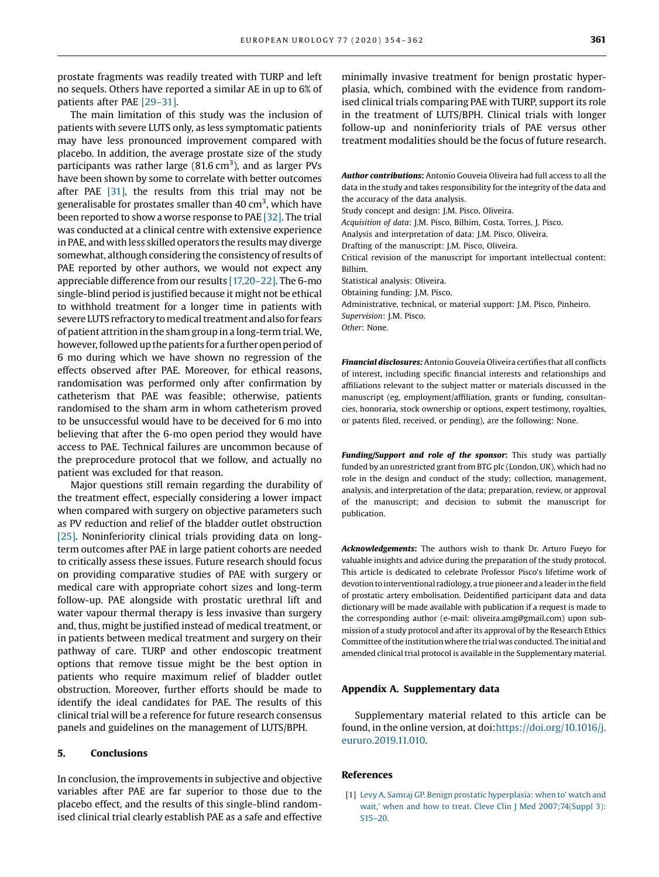<span id="page-7-0"></span>prostate fragments was readily treated with TURP and left no sequels. Others have reported a similar AE in up to 6% of patients after PAE [\[29](#page-8-0)–31].

The main limitation of this study was the inclusion of patients with severe LUTS only, as less symptomatic patients may have less pronounced improvement compared with placebo. In addition, the average prostate size of the study participants was rather large (81.6  $\text{cm}^3$ ), and as larger PVs have been shown by some to correlate with better outcomes after PAE [\[31\],](#page-8-0) the results from this trial may not be generalisable for prostates smaller than 40 cm<sup>3</sup>, which have been reported to show a worse response to PAE [\[32\]](#page-8-0). The trial was conducted at a clinical centre with extensive experience in PAE, and with less skilled operators the results may diverge somewhat, although considering the consistency of results of PAE reported by other authors, we would not expect any appreciable difference from our results [\[17,20](#page-8-0)–22]. The 6-mo single-blind period is justified because it might not be ethical to withhold treatment for a longer time in patients with severe LUTS refractory to medical treatment and also for fears of patient attrition in the sham group in a long-term trial.We, however, followed up the patients for a further open period of 6 mo during which we have shown no regression of the effects observed after PAE. Moreover, for ethical reasons, randomisation was performed only after confirmation by catheterism that PAE was feasible; otherwise, patients randomised to the sham arm in whom catheterism proved to be unsuccessful would have to be deceived for 6 mo into believing that after the 6-mo open period they would have access to PAE. Technical failures are uncommon because of the preprocedure protocol that we follow, and actually no patient was excluded for that reason.

Major questions still remain regarding the durability of the treatment effect, especially considering a lower impact when compared with surgery on objective parameters such as PV reduction and relief of the bladder outlet obstruction [\[25\]](#page-8-0). Noninferiority clinical trials providing data on longterm outcomes after PAE in large patient cohorts are needed to critically assess these issues. Future research should focus on providing comparative studies of PAE with surgery or medical care with appropriate cohort sizes and long-term follow-up. PAE alongside with prostatic urethral lift and water vapour thermal therapy is less invasive than surgery and, thus, might be justified instead of medical treatment, or in patients between medical treatment and surgery on their pathway of care. TURP and other endoscopic treatment options that remove tissue might be the best option in patients who require maximum relief of bladder outlet obstruction. Moreover, further efforts should be made to identify the ideal candidates for PAE. The results of this clinical trial will be a reference for future research consensus panels and guidelines on the management of LUTS/BPH.

#### 5. Conclusions

In conclusion, the improvements in subjective and objective variables after PAE are far superior to those due to the placebo effect, and the results of this single-blind randomised clinical trial clearly establish PAE as a safe and effective

minimally invasive treatment for benign prostatic hyperplasia, which, combined with the evidence from randomised clinical trials comparing PAE with TURP, support its role in the treatment of LUTS/BPH. Clinical trials with longer follow-up and noninferiority trials of PAE versus other treatment modalities should be the focus of future research.

Author contributions: Antonio Gouveia Oliveira had full access to all the data in the study and takes responsibility for the integrity of the data and the accuracy of the data analysis.

Study concept and design: J.M. Pisco, Oliveira.

Acquisition of data: J.M. Pisco, Bilhim, Costa, Torres, J. Pisco.

Analysis and interpretation of data: J.M. Pisco, Oliveira.

Drafting of the manuscript: J.M. Pisco, Oliveira.

Critical revision of the manuscript for important intellectual content: Bilhim.

Statistical analysis: Oliveira.

Obtaining funding: J.M. Pisco.

Administrative, technical, or material support: J.M. Pisco, Pinheiro.

Supervision: J.M. Pisco.

Other: None.

Financial disclosures: Antonio Gouveia Oliveira certifies that all conflicts of interest, including specific financial interests and relationships and affiliations relevant to the subject matter or materials discussed in the manuscript (eg, employment/affiliation, grants or funding, consultancies, honoraria, stock ownership or options, expert testimony, royalties, or patents filed, received, or pending), are the following: None.

Funding/Support and role of the sponsor: This study was partially funded by an unrestricted grant from BTG plc (London, UK), which had no role in the design and conduct of the study; collection, management, analysis, and interpretation of the data; preparation, review, or approval of the manuscript; and decision to submit the manuscript for publication.

Acknowledgements: The authors wish to thank Dr. Arturo Fueyo for valuable insights and advice during the preparation of the study protocol. This article is dedicated to celebrate Professor Pisco's lifetime work of devotion to interventional radiology, a true pioneer and a leader in thefield of prostatic artery embolisation. Deidentified participant data and data dictionary will be made available with publication if a request is made to the corresponding author (e-mail: oliveira.amg@gmail.com) upon submission of a study protocol and after its approval of by the Research Ethics Committee of the institutionwhere the trial was conducted. The initial and amended clinical trial protocol is available in the Supplementary material.

#### Appendix A. Supplementary data

Supplementary material related to this article can be found, in the online version, at doi[:https://doi.org/10.1016/j.](https://doi.org/10.1016/j.eururo.2019.11.010) [eururo.2019.11.010](https://doi.org/10.1016/j.eururo.2019.11.010).

#### References

[1] [Levy A, Samraj GP. Benign prostatic hyperplasia: when to](http://refhub.elsevier.com/S0302-2838(19)30873-5/sbref0005)' watch and wait,' [when and how to treat. Cleve Clin J Med 2007;74\(Suppl 3\):](http://refhub.elsevier.com/S0302-2838(19)30873-5/sbref0005) [S15](http://refhub.elsevier.com/S0302-2838(19)30873-5/sbref0005)–20.